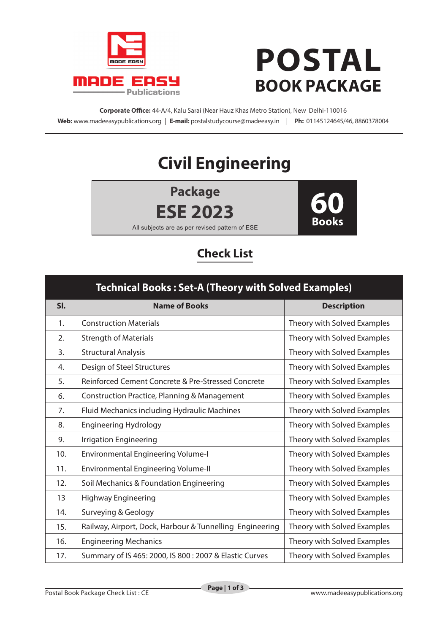

## **POSTAL BOOK PACKAGE**

**Corporate Office:** 44-A/4, Kalu Sarai (Near Hauz Khas Metro Station), New Delhi-110016 **Web:** www.madeeasypublications.org | **E-mail:** postalstudycourse@madeeasy.in | **Ph:** 01145124645/46, 8860378004

## **Civil Engineering**

**Package ESE 2023**



All subjects are as per revised pattern of ESE

## **Check List**

| <b>Technical Books: Set-A (Theory with Solved Examples)</b> |                                                          |                             |  |  |
|-------------------------------------------------------------|----------------------------------------------------------|-----------------------------|--|--|
| SI.                                                         | <b>Name of Books</b>                                     | <b>Description</b>          |  |  |
| 1.                                                          | <b>Construction Materials</b>                            | Theory with Solved Examples |  |  |
| 2.                                                          | <b>Strength of Materials</b>                             | Theory with Solved Examples |  |  |
| 3.                                                          | <b>Structural Analysis</b>                               | Theory with Solved Examples |  |  |
| 4.                                                          | Design of Steel Structures                               | Theory with Solved Examples |  |  |
| 5.                                                          | Reinforced Cement Concrete & Pre-Stressed Concrete       | Theory with Solved Examples |  |  |
| 6.                                                          | <b>Construction Practice, Planning &amp; Management</b>  | Theory with Solved Examples |  |  |
| 7.                                                          | Fluid Mechanics including Hydraulic Machines             | Theory with Solved Examples |  |  |
| 8.                                                          | <b>Engineering Hydrology</b>                             | Theory with Solved Examples |  |  |
| 9.                                                          | <b>Irrigation Engineering</b>                            | Theory with Solved Examples |  |  |
| 10.                                                         | <b>Environmental Engineering Volume-I</b>                | Theory with Solved Examples |  |  |
| 11.                                                         | <b>Environmental Engineering Volume-II</b>               | Theory with Solved Examples |  |  |
| 12.                                                         | Soil Mechanics & Foundation Engineering                  | Theory with Solved Examples |  |  |
| 13                                                          | <b>Highway Engineering</b>                               | Theory with Solved Examples |  |  |
| 14.                                                         | Surveying & Geology                                      | Theory with Solved Examples |  |  |
| 15.                                                         | Railway, Airport, Dock, Harbour & Tunnelling Engineering | Theory with Solved Examples |  |  |
| 16.                                                         | <b>Engineering Mechanics</b>                             | Theory with Solved Examples |  |  |
| 17.                                                         | Summary of IS 465: 2000, IS 800 : 2007 & Elastic Curves  | Theory with Solved Examples |  |  |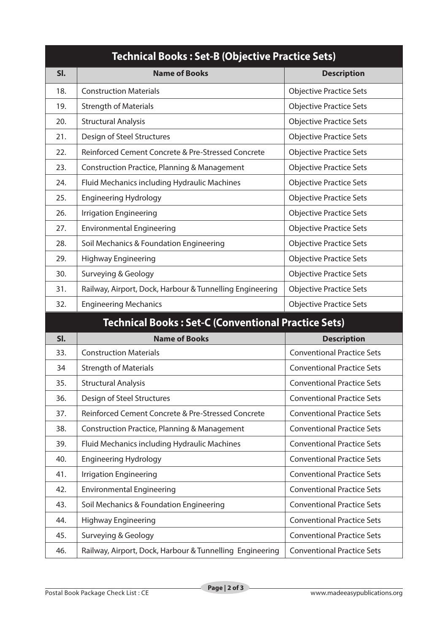| <b>Technical Books: Set-B (Objective Practice Sets)</b> |                                                            |                                   |  |  |
|---------------------------------------------------------|------------------------------------------------------------|-----------------------------------|--|--|
| SI.                                                     | <b>Name of Books</b>                                       | <b>Description</b>                |  |  |
| 18.                                                     | <b>Construction Materials</b>                              | <b>Objective Practice Sets</b>    |  |  |
| 19.                                                     | <b>Strength of Materials</b>                               | <b>Objective Practice Sets</b>    |  |  |
| 20.                                                     | <b>Structural Analysis</b>                                 | <b>Objective Practice Sets</b>    |  |  |
| 21.                                                     | Design of Steel Structures                                 | <b>Objective Practice Sets</b>    |  |  |
| 22.                                                     | Reinforced Cement Concrete & Pre-Stressed Concrete         | <b>Objective Practice Sets</b>    |  |  |
| 23.                                                     | Construction Practice, Planning & Management               | <b>Objective Practice Sets</b>    |  |  |
| 24.                                                     | Fluid Mechanics including Hydraulic Machines               | <b>Objective Practice Sets</b>    |  |  |
| 25.                                                     | <b>Engineering Hydrology</b>                               | <b>Objective Practice Sets</b>    |  |  |
| 26.                                                     | <b>Irrigation Engineering</b>                              | <b>Objective Practice Sets</b>    |  |  |
| 27.                                                     | <b>Environmental Engineering</b>                           | <b>Objective Practice Sets</b>    |  |  |
| 28.                                                     | Soil Mechanics & Foundation Engineering                    | <b>Objective Practice Sets</b>    |  |  |
| 29.                                                     | <b>Highway Engineering</b>                                 | <b>Objective Practice Sets</b>    |  |  |
| 30.                                                     | Surveying & Geology                                        | <b>Objective Practice Sets</b>    |  |  |
| 31.                                                     | Railway, Airport, Dock, Harbour & Tunnelling Engineering   | <b>Objective Practice Sets</b>    |  |  |
| 32.                                                     | <b>Engineering Mechanics</b>                               | <b>Objective Practice Sets</b>    |  |  |
|                                                         | <b>Technical Books: Set-C (Conventional Practice Sets)</b> |                                   |  |  |
| SI.                                                     | <b>Name of Books</b>                                       | <b>Description</b>                |  |  |
| 33.                                                     | <b>Construction Materials</b>                              | <b>Conventional Practice Sets</b> |  |  |
| 34                                                      | <b>Strength of Materials</b>                               | <b>Conventional Practice Sets</b> |  |  |
| 35.                                                     | <b>Structural Analysis</b>                                 | <b>Conventional Practice Sets</b> |  |  |
| 36.                                                     | Design of Steel Structures                                 | <b>Conventional Practice Sets</b> |  |  |
| 37.                                                     | Reinforced Cement Concrete & Pre-Stressed Concrete         | <b>Conventional Practice Sets</b> |  |  |
| 38.                                                     | <b>Construction Practice, Planning &amp; Management</b>    | <b>Conventional Practice Sets</b> |  |  |
| 39.                                                     | Fluid Mechanics including Hydraulic Machines               | <b>Conventional Practice Sets</b> |  |  |
| 40.                                                     | <b>Engineering Hydrology</b>                               | <b>Conventional Practice Sets</b> |  |  |
| 41.                                                     | <b>Irrigation Engineering</b>                              | <b>Conventional Practice Sets</b> |  |  |
| 42.                                                     | <b>Environmental Engineering</b>                           | <b>Conventional Practice Sets</b> |  |  |
| 43.                                                     | Soil Mechanics & Foundation Engineering                    | <b>Conventional Practice Sets</b> |  |  |
| 44.                                                     | <b>Highway Engineering</b>                                 | <b>Conventional Practice Sets</b> |  |  |
| 45.                                                     | Surveying & Geology                                        | <b>Conventional Practice Sets</b> |  |  |
| 46.                                                     | Railway, Airport, Dock, Harbour & Tunnelling Engineering   | <b>Conventional Practice Sets</b> |  |  |